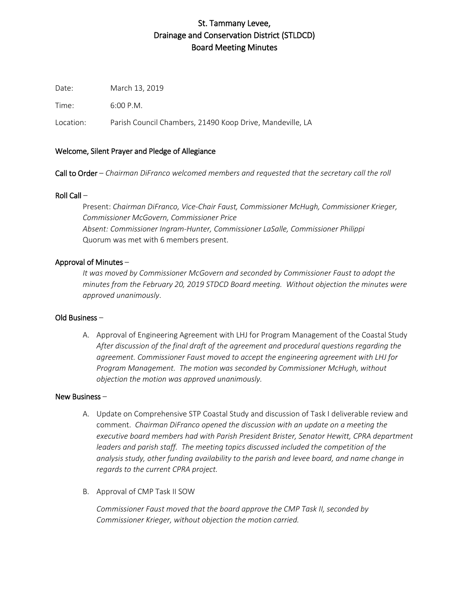# St. Tammany Levee, Drainage and Conservation District (STLDCD) Board Meeting Minutes

Date: March 13, 2019

Time: 6:00 P.M.

Location: Parish Council Chambers, 21490 Koop Drive, Mandeville, LA

## Welcome, Silent Prayer and Pledge of Allegiance

Call to Order – *Chairman DiFranco welcomed members and requested that the secretary call the roll*

## Roll Call –

Present: *Chairman DiFranco, Vice-Chair Faust, Commissioner McHugh, Commissioner Krieger, Commissioner McGovern, Commissioner Price Absent: Commissioner Ingram-Hunter, Commissioner LaSalle, Commissioner Philippi* Quorum was met with 6 members present.

## Approval of Minutes –

*It was moved by Commissioner McGovern and seconded by Commissioner Faust to adopt the minutes from the February 20, 2019 STDCD Board meeting. Without objection the minutes were approved unanimously*.

#### Old Business –

A. Approval of Engineering Agreement with LHJ for Program Management of the Coastal Study *After discussion of the final draft of the agreement and procedural questions regarding the agreement. Commissioner Faust moved to accept the engineering agreement with LHJ for Program Management. The motion was seconded by Commissioner McHugh, without objection the motion was approved unanimously.* 

#### New Business –

- A. Update on Comprehensive STP Coastal Study and discussion of Task I deliverable review and comment. *Chairman DiFranco opened the discussion with an update on a meeting the executive board members had with Parish President Brister, Senator Hewitt, CPRA department*  leaders and parish staff. The meeting topics discussed included the competition of the *analysis study, other funding availability to the parish and levee board, and name change in regards to the current CPRA project.*
- B. Approval of CMP Task II SOW

*Commissioner Faust moved that the board approve the CMP Task II, seconded by Commissioner Krieger, without objection the motion carried.*